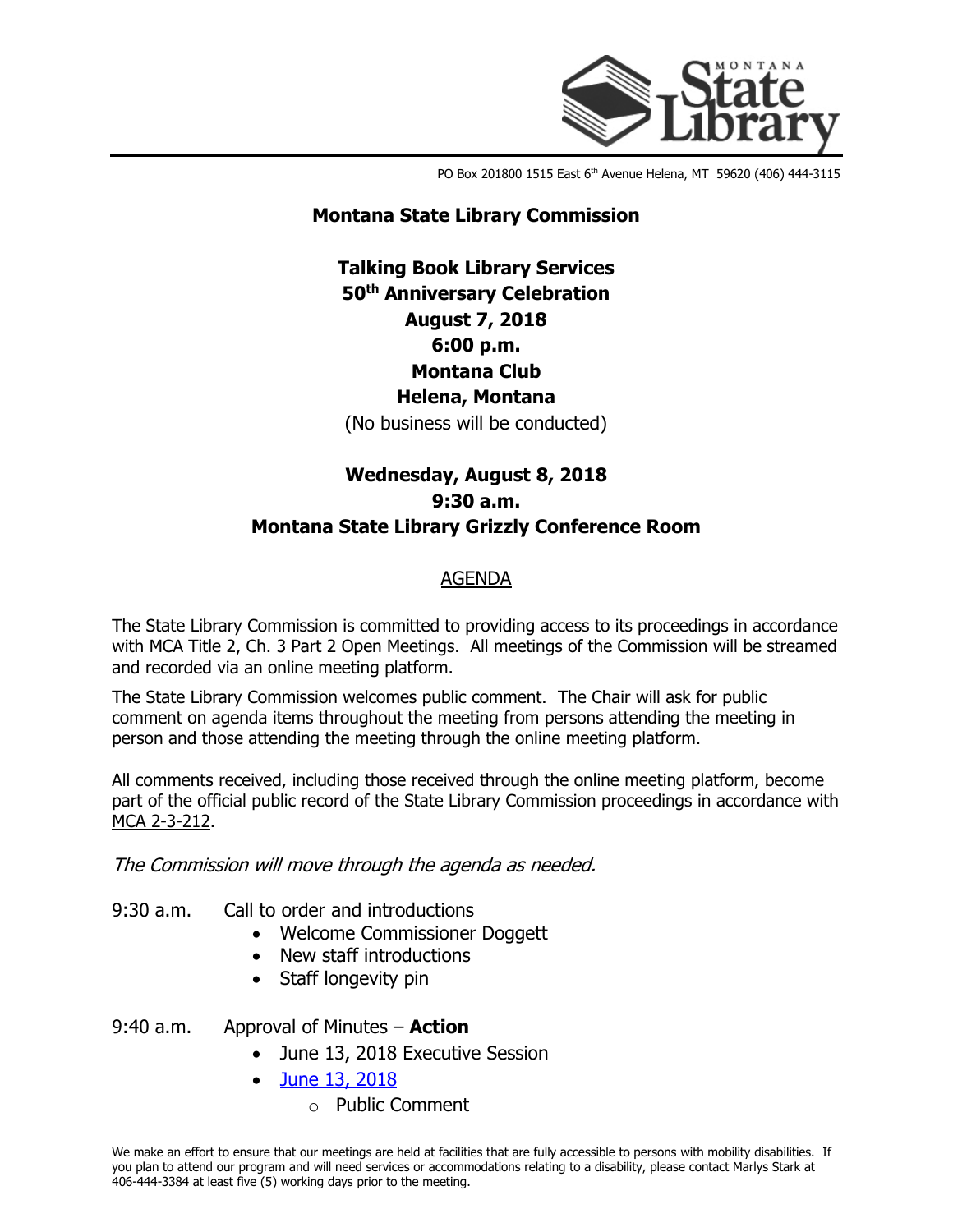

PO Box 201800 1515 East 6<sup>th</sup> Avenue Helena, MT 59620 (406) 444-3115

### **Montana State Library Commission**

## **Talking Book Library Services 50th Anniversary Celebration August 7, 2018 6:00 p.m. Montana Club Helena, Montana** (No business will be conducted)

# **Wednesday, August 8, 2018 9:30 a.m. Montana State Library Grizzly Conference Room**

### AGENDA

The State Library Commission is committed to providing access to its proceedings in accordance with MCA Title 2, Ch. 3 Part 2 Open Meetings. All meetings of the Commission will be streamed and recorded via an online meeting platform.

The State Library Commission welcomes public comment. The Chair will ask for public comment on agenda items throughout the meeting from persons attending the meeting in person and those attending the meeting through the online meeting platform.

All comments received, including those received through the online meeting platform, become part of the official public record of the State Library Commission proceedings in accordance with [MCA 2-3-212.](http://leg.mt.gov/bills/mca/2/3/2-3-212.htm)

### The Commission will move through the agenda as needed.

- 9:30 a.m. Call to order and introductions
	- Welcome Commissioner Doggett
	- New staff introductions
	- Staff longevity pin
- 9:40 a.m. Approval of Minutes **Action**
	- June 13, 2018 Executive Session
	- [June 13, 2018](http://docs.msl.mt.gov/Central_Services/Commission_Councils/Commission/Archive/2018/08/20180808Minute%20log%20draft%206.13.18.pdf)
		- o Public Comment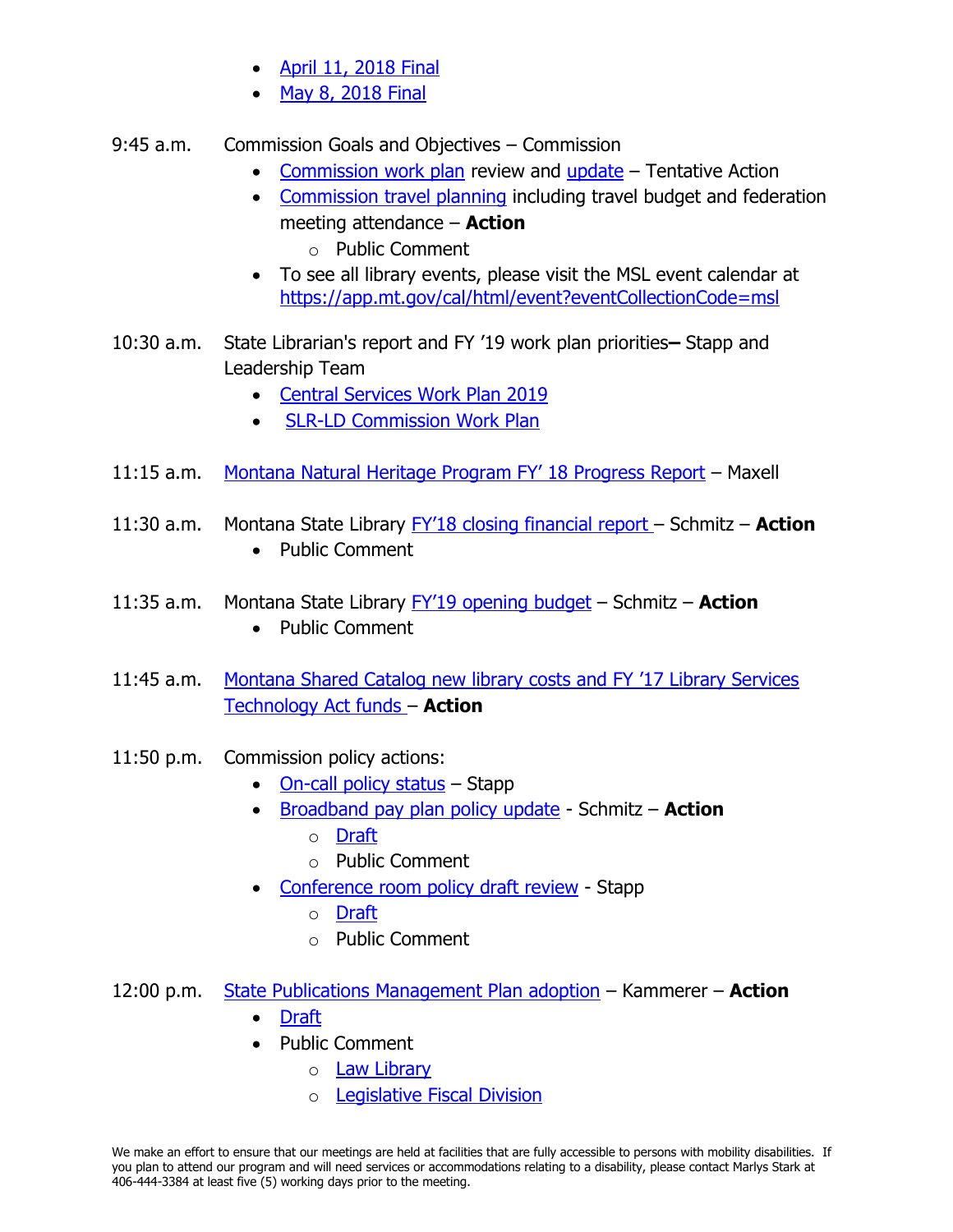- [April 11, 2018 Final](http://docs.msl.mt.gov/Central_Services/Commission_Councils/Commission/Archive/2018/08/20180808minute%20log%204.11.18final.pdf)
- May 8, 2018 Final
- 9:45 a.m. Commission Goals and Objectives Commission
	- [Commission work plan](http://docs.msl.mt.gov/Central_Services/Commission_Councils/Commission/Archive/2018/08/20180808Commission%20work%20plan%20calendar_August2018.pdf) review and [update](http://docs.msl.mt.gov/Central_Services/Commission_Councils/Commission/Archive/2018/08/20180808Draft%20FY%2019%20Commission%20Work%20Plan.pdf) Tentative Action
	- [Commission travel planning](http://docs.msl.mt.gov/Central_Services/Commission_Councils/Commission/Archive/2018/08/20180808Commission%20travel%20planning.xlsx) including travel budget and federation meeting attendance – **Action** o Public Comment
	- To see all library events, please visit the MSL event calendar at <https://app.mt.gov/cal/html/event?eventCollectionCode=msl>
- 10:30 a.m. State Librarian's report and FY '19 work plan priorities**–** Stapp and Leadership Team
	- [Central Services Work Plan 2019](http://docs.msl.mt.gov/Central_Services/Commission_Councils/Commission/Archive/2018/08/20180808Central%20Services%20Work%20Plan%202019.pdf)
	- **[SLR-LD Commission Work Plan](http://docs.msl.mt.gov/Central_Services/Commission_Councils/Commission/Archive/2018/08/20180808SLR-LD%20Commission%20Work%20Plan_Augustupdates.pdf)**
- 11:15 a.m. [Montana Natural Heritage Program FY' 18 Progress Report](http://docs.msl.mt.gov/Central_Services/Commission_Councils/Commission/Archive/2018/08/20180808MTNHP_FY18_SOW_Progress_Report_20180710.pdf) Maxell
- 11:30 a.m. Montana State Library [FY'18 closing financial report –](http://docs.msl.mt.gov/Central_Services/Commission_Councils/Commission/Archive/2018/08/20180808FY) Schmitz **Action** • Public Comment
- 11:35 a.m. Montana State Library [FY'19 opening budget](http://docs.msl.mt.gov/Central_Services/Commission_Councils/Commission/Archive/2018/08/20180808FY) Schmitz **Action**
	- Public Comment
- 11:45 a.m. [Montana Shared Catalog new library costs and FY '17 Library Services](http://docs.msl.mt.gov/Central_Services/Commission_Councils/Commission/Archive/2018/08/20180808MSC%20New%20Libraries%20cost%20memo.pdf)  [Technology Act funds](http://docs.msl.mt.gov/Central_Services/Commission_Councils/Commission/Archive/2018/08/20180808MSC%20New%20Libraries%20cost%20memo.pdf) – **Action**
- 11:50 p.m. Commission policy actions:
	- [On-call policy status](http://docs.msl.mt.gov/Central_Services/Commission_Councils/Commission/Archive/2018/08/20180808On%20Call%20Policy%20Memo.pdf) Stapp
	- [Broadband pay plan policy update](http://docs.msl.mt.gov/Central_Services/Commission_Councils/Commission/Archive/2018/08/20180808Broadband%20Pay%20Plan%20Policy%20Memo.pdf) Schmitz **Action**
		- o [Draft](http://docs.msl.mt.gov/Central_Services/Commission_Councils/Commission/Archive/2018/08/20180808Pay%20Plan%20Addendum%20A_Draft.xlsx)
		- o Public Comment
	- [Conference room policy draft review](http://docs.msl.mt.gov/Central_Services/Commission_Councils/Commission/Archive/2018/08/20180808Conference%20Room%20Policy%20Memo.pdf) Stapp
		- o [Draft](http://docs.msl.mt.gov/Central_Services/Commission_Councils/Commission/Archive/2018/08/20180808Conference%20Room%20Policy%20draft%20August%202018.pdf)
		- o Public Comment
- 12:00 p.m. [State Publications Management Plan adoption](http://docs.msl.mt.gov/Central_Services/Commission_Councils/Commission/Archive/2018/08/20180808State%20Publications%20Rules%20Memo.pdf) Kammerer **Action**
	- [Draft](http://docs.msl.mt.gov/Central_Services/Commission_Councils/Commission/Archive/2018/08/20180808State%20Publications%20Management%20Plan%20Draft.pdf)
	- Public Comment
		- o [Law Library](http://docs.msl.mt.gov/Central_Services/Commission_Councils/Commission/Archive/2018/08/20180808PublicComments_LawLibrary.pdf)
		- o [Legislative Fiscal Division](http://docs.msl.mt.gov/Central_Services/Commission_Councils/Commission/Archive/2018/08/20180808PublicComments_LegislativeFiscalDivision.pdf)